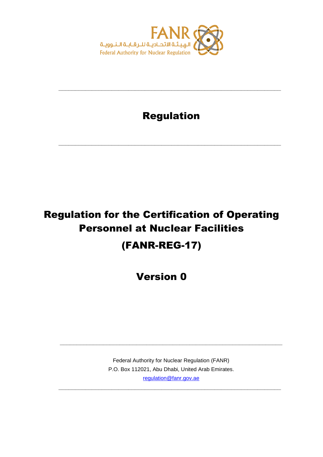

## Regulation

**\_\_\_\_\_\_\_\_\_\_\_\_\_\_\_\_\_\_\_\_\_\_\_\_\_\_\_\_\_\_\_\_\_\_\_\_\_\_\_\_\_\_\_\_\_\_\_\_\_\_\_\_\_\_\_\_\_\_\_\_\_\_\_\_\_\_\_**

**\_\_\_\_\_\_\_\_\_\_\_\_\_\_\_\_\_\_\_\_\_\_\_\_\_\_\_\_\_\_\_\_\_\_\_\_\_\_\_\_\_\_\_\_\_\_\_\_\_\_\_\_\_\_\_\_\_\_\_\_\_\_\_\_\_\_\_**

# Regulation for the Certification of Operating Personnel at Nuclear Facilities (FANR-REG-17)

Version 0

Federal Authority for Nuclear Regulation (FANR) P.O. Box 112021, Abu Dhabi, United Arab Emirates. [regulation@fanr.gov.ae](http://www.fanr.gov.ae/)

**\_\_\_\_\_\_\_\_\_\_\_\_\_\_\_\_\_\_\_\_\_\_\_\_\_\_\_\_\_\_\_\_\_\_\_\_\_\_\_\_\_\_\_\_\_\_\_\_\_\_\_\_\_\_\_\_\_\_\_\_\_\_\_\_\_\_\_**

**\_\_\_\_\_\_\_\_\_\_\_\_\_\_\_\_\_\_\_\_\_\_\_\_\_\_\_\_\_\_\_\_\_\_\_\_\_\_\_\_\_\_\_\_\_\_\_\_\_\_\_\_\_\_\_\_\_\_\_\_\_\_\_\_\_\_\_**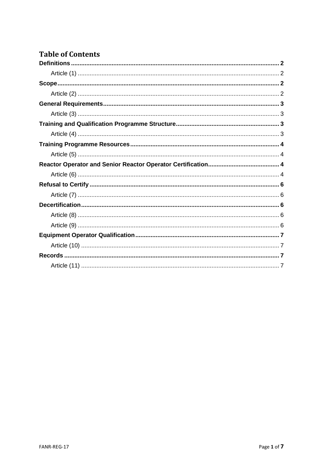### **Table of Contents**

<span id="page-1-0"></span>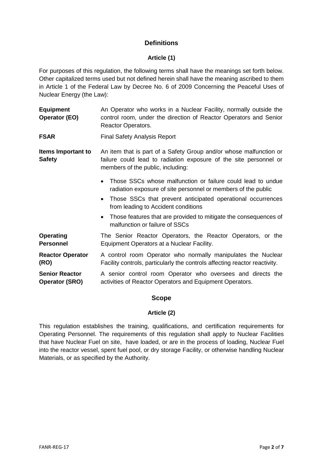#### **Definitions**

#### **Article (1)**

<span id="page-2-0"></span>For purposes of this regulation, the following terms shall have the meanings set forth below. Other capitalized terms used but not defined herein shall have the meaning ascribed to them in Article 1 of the Federal Law by Decree No. 6 of 2009 Concerning the Peaceful Uses of Nuclear Energy (the Law):

| <b>Equipment</b> | An Operator who works in a Nuclear Facility, normally outside the |
|------------------|-------------------------------------------------------------------|
| Operator (EO)    | control room, under the direction of Reactor Operators and Senior |
|                  | <b>Reactor Operators.</b>                                         |

**FSAR** Final Safety Analysis Report

**Items Important to Safety** An item that is part of a Safety Group and/or whose malfunction or failure could lead to radiation exposure of the site personnel or members of the public, including:

- Those SSCs whose malfunction or failure could lead to undue radiation exposure of site personnel or members of the public
- Those SSCs that prevent anticipated operational occurrences from leading to Accident conditions
- Those features that are provided to mitigate the consequences of malfunction or failure of SSCs
- **Operating Personnel** The Senior Reactor Operators, the Reactor Operators, or the Equipment Operators at a Nuclear Facility.

**Reactor Operator (RO)** A control room Operator who normally manipulates the Nuclear Facility controls, particularly the controls affecting reactor reactivity.

<span id="page-2-1"></span>**Senior Reactor Operator (SRO)** A senior control room Operator who oversees and directs the activities of Reactor Operators and Equipment Operators.

#### **Scope**

#### **Article (2)**

<span id="page-2-2"></span>This regulation establishes the training, qualifications, and certification requirements for Operating Personnel. The requirements of this regulation shall apply to Nuclear Facilities that have Nuclear Fuel on site, have loaded, or are in the process of loading, Nuclear Fuel into the reactor vessel, spent fuel pool, or dry storage Facility, or otherwise handling Nuclear Materials, or as specified by the Authority.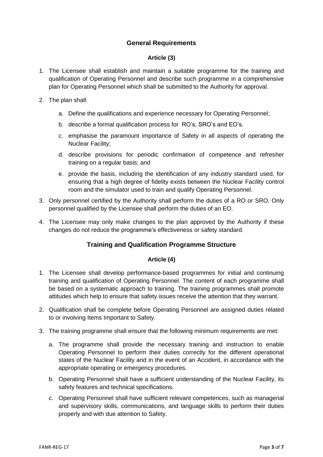#### **General Requirements**

#### **Article (3)**

- <span id="page-3-1"></span><span id="page-3-0"></span>1. The Licensee shall establish and maintain a suitable programme for the training and qualification of Operating Personnel and describe such programme in a comprehensive plan for Operating Personnel which shall be submitted to the Authority for approval.
- 2. The plan shall:
	- a. Define the qualifications and experience necessary for Operating Personnel;
	- b. describe a formal qualification process for RO's, SRO's and EO's.
	- c. emphasise the paramount importance of Safety in all aspects of operating the Nuclear Facility;
	- d. describe provisions for periodic confirmation of competence and refresher training on a regular basis; and
	- e. provide the basis, including the identification of any industry standard used, for ensuring that a high degree of fidelity exists between the Nuclear Facility control room and the simulator used to train and qualify Operating Personnel.
- 3. Only personnel certified by the Authority shall perform the duties of a RO or SRO. Only personnel qualified by the Licensee shall perform the duties of an EO.
- <span id="page-3-2"></span>4. The Licensee may only make changes to the plan approved by the Authority if these changes do not reduce the programme's effectiveness or safety standard.

#### **Training and Qualification Programme Structure**

#### **Article (4)**

- <span id="page-3-3"></span>1. The Licensee shall develop performance-based programmes for initial and continuing training and qualification of Operating Personnel. The content of each programme shall be based on a systematic approach to training. The training programmes shall promote attitudes which help to ensure that safety issues receive the attention that they warrant.
- 2. Qualification shall be complete before Operating Personnel are assigned duties related to or involving Items Important to Safety.
- 3. The training programme shall ensure that the following minimum requirements are met:
	- a. The programme shall provide the necessary training and instruction to enable Operating Personnel to perform their duties correctly for the different operational states of the Nuclear Facility and in the event of an Accident, in accordance with the appropriate operating or emergency procedures.
	- b. Operating Personnel shall have a sufficient understanding of the Nuclear Facility, its safety features and technical specifications.
	- c. Operating Personnel shall have sufficient relevant competences, such as managerial and supervisory skills, communications, and language skills to perform their duties properly and with due attention to Safety.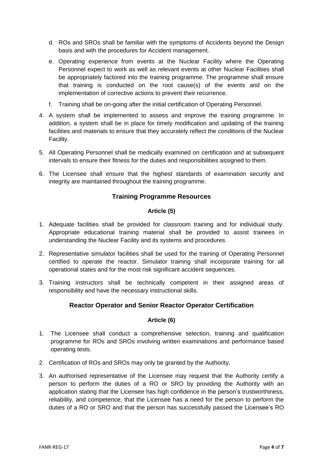- d. ROs and SROs shall be familiar with the symptoms of Accidents beyond the Design basis and with the procedures for Accident management.
- e. Operating experience from events at the Nuclear Facility where the Operating Personnel expect to work as well as relevant events at other Nuclear Facilities shall be appropriately factored into the training programme. The programme shall ensure that training is conducted on the root cause(s) of the events and on the implementation of corrective actions to prevent their recurrence.
- f. Training shall be on-going after the initial certification of Operating Personnel.
- 4. A system shall be implemented to assess and improve the training programme. In addition, a system shall be in place for timely modification and updating of the training facilities and materials to ensure that they accurately reflect the conditions of the Nuclear Facility.
- 5. All Operating Personnel shall be medically examined on certification and at subsequent intervals to ensure their fitness for the duties and responsibilities assigned to them.
- <span id="page-4-0"></span>6. The Licensee shall ensure that the highest standards of examination security and integrity are maintained throughout the training programme.

#### **Training Programme Resources**

#### **Article (5)**

- <span id="page-4-1"></span>1. Adequate facilities shall be provided for classroom training and for individual study. Appropriate educational training material shall be provided to assist trainees in understanding the Nuclear Facility and its systems and procedures.
- 2. Representative simulator facilities shall be used for the training of Operating Personnel certified to operate the reactor. Simulator training shall incorporate training for all operational states and for the most risk significant accident sequences.
- <span id="page-4-2"></span>3. Training instructors shall be technically competent in their assigned areas of responsibility and have the necessary instructional skills.

#### **Reactor Operator and Senior Reactor Operator Certification**

#### **Article (6)**

- <span id="page-4-3"></span>1. The Licensee shall conduct a comprehensive selection, training and qualification programme for ROs and SROs involving written examinations and performance based operating tests.
- 2. Certification of ROs and SROs may only be granted by the Authority.
- 3. An authorised representative of the Licensee may request that the Authority certify a person to perform the duties of a RO or SRO by providing the Authority with an application stating that the Licensee has high confidence in the person's trustworthiness, reliability, and competence, that the Licensee has a need for the person to perform the duties of a RO or SRO and that the person has successfully passed the Licensee's RO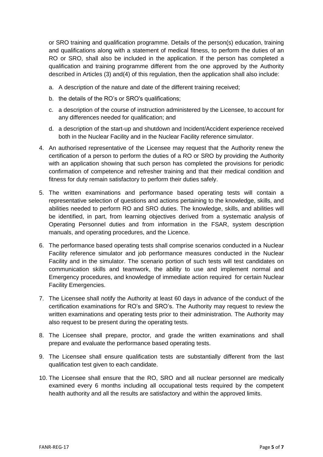or SRO training and qualification programme. Details of the person(s) education, training and qualifications along with a statement of medical fitness, to perform the duties of an RO or SRO, shall also be included in the application. If the person has completed a qualification and training programme different from the one approved by the Authority described in Articles (3) and(4) of this regulation, then the application shall also include:

- a. A description of the nature and date of the different training received;
- b. the details of the RO's or SRO's qualifications;
- c. a description of the course of instruction administered by the Licensee, to account for any differences needed for qualification; and
- d. a description of the start-up and shutdown and Incident/Accident experience received both in the Nuclear Facility and in the Nuclear Facility reference simulator.
- 4. An authorised representative of the Licensee may request that the Authority renew the certification of a person to perform the duties of a RO or SRO by providing the Authority with an application showing that such person has completed the provisions for periodic confirmation of competence and refresher training and that their medical condition and fitness for duty remain satisfactory to perform their duties safely.
- 5. The written examinations and performance based operating tests will contain a representative selection of questions and actions pertaining to the knowledge, skills, and abilities needed to perform RO and SRO duties. The knowledge, skills, and abilities will be identified, in part, from learning objectives derived from a systematic analysis of Operating Personnel duties and from information in the FSAR, system description manuals, and operating procedures, and the Licence.
- 6. The performance based operating tests shall comprise scenarios conducted in a Nuclear Facility reference simulator and job performance measures conducted in the Nuclear Facility and in the simulator. The scenario portion of such tests will test candidates on communication skills and teamwork, the ability to use and implement normal and Emergency procedures, and knowledge of immediate action required for certain Nuclear Facility Emergencies.
- 7. The Licensee shall notify the Authority at least 60 days in advance of the conduct of the certification examinations for RO's and SRO's. The Authority may request to review the written examinations and operating tests prior to their administration. The Authority may also request to be present during the operating tests.
- 8. The Licensee shall prepare, proctor, and grade the written examinations and shall prepare and evaluate the performance based operating tests.
- 9. The Licensee shall ensure qualification tests are substantially different from the last qualification test given to each candidate.
- 10. The Licensee shall ensure that the RO, SRO and all nuclear personnel are medically examined every 6 months including all occupational tests required by the competent health authority and all the results are satisfactory and within the approved limits.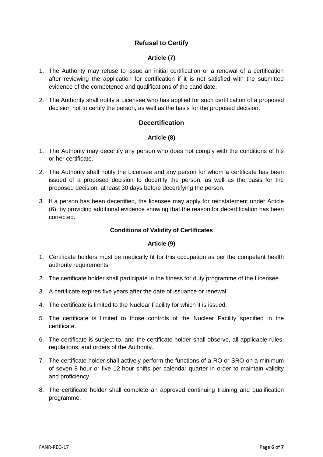#### **Refusal to Certify**

#### **Article (7)**

- <span id="page-6-1"></span><span id="page-6-0"></span>1. The Authority may refuse to issue an initial certification or a renewal of a certification after reviewing the application for certification if it is not satisfied with the submitted evidence of the competence and qualifications of the candidate.
- <span id="page-6-2"></span>2. The Authority shall notify a Licensee who has applied for such certification of a proposed decision not to certify the person, as well as the basis for the proposed decision.

#### **Decertification**

#### **Article (8)**

- <span id="page-6-3"></span>1. The Authority may decertify any person who does not comply with the conditions of his or her certificate.
- 2. The Authority shall notify the Licensee and any person for whom a certificate has been issued of a proposed decision to decertify the person, as well as the basis for the proposed decision, at least 30 days before decertifying the person.
- 3. If a person has been decertified, the licensee may apply for reinstatement under Article (6), by providing additional evidence showing that the reason for decertification has been corrected.

#### **Conditions of Validity of Certificates**

#### **Article (9)**

- <span id="page-6-4"></span>1. Certificate holders must be medically fit for this occupation as per the competent health authority requirements.
- 2. The certificate holder shall participate in the fitness for duty programme of the Licensee.
- 3. A certificate expires five years after the date of issuance or renewal
- 4. The certificate is limited to the Nuclear Facility for which it is issued.
- 5. The certificate is limited to those controls of the Nuclear Facility specified in the certificate.
- 6. The certificate is subject to, and the certificate holder shall observe, all applicable rules, regulations, and orders of the Authority.
- 7. The certificate holder shall actively perform the functions of a RO or SRO on a minimum of seven 8-hour or five 12-hour shifts per calendar quarter in order to maintain validity and proficiency.
- 8. The certificate holder shall complete an approved continuing training and qualification programme.